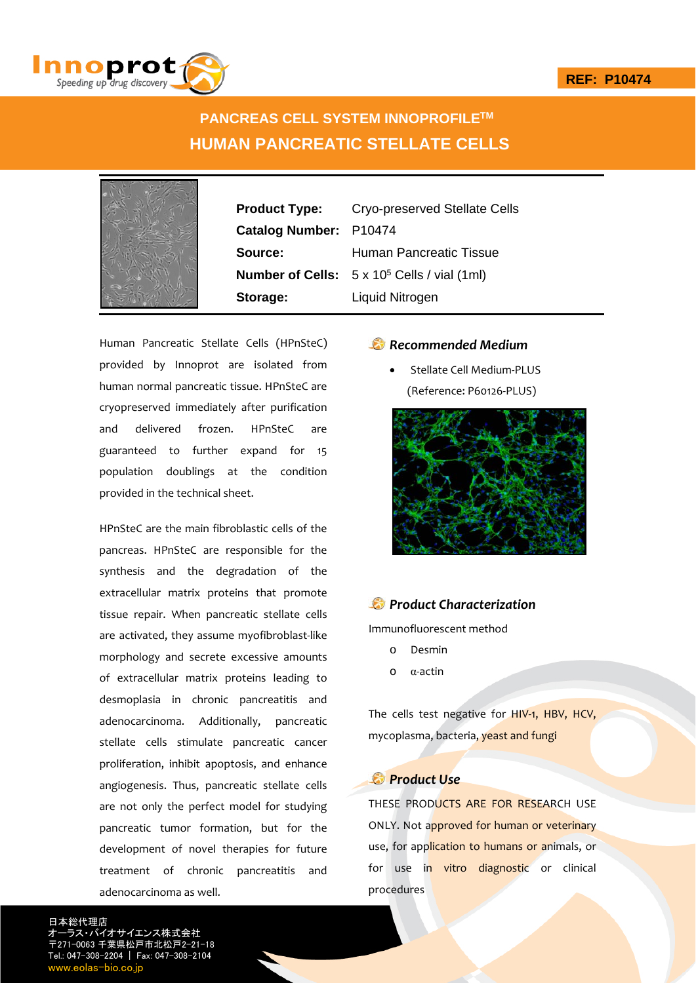

# **PANCREAS CELL SYSTEM INNOPROFILETM HUMAN PANCREATIC STELLATE CELLS**



**Catalog Number:** P10474 **Storage:** Liquid Nitrogen

**Product Type:** Cryo-preserved Stellate Cells **Source:** Human Pancreatic Tissue **Number of Cells:** 5 x 105 Cells / vial (1ml)

Human Pancreatic Stellate Cells (HPnSteC) provided by Innoprot are isolated from human normal pancreatic tissue. HPnSteC are cryopreserved immediately after purification and delivered frozen. HPnSteC are guaranteed to further expand for 15 population doublings at the condition provided in the technical sheet.

HPnSteC are the main fibroblastic cells of the pancreas. HPnSteC are responsible for the synthesis and the degradation of the extracellular matrix proteins that promote tissue repair. When pancreatic stellate cells are activated, they assume myofibroblast‐like morphology and secrete excessive amounts of extracellular matrix proteins leading to desmoplasia in chronic pancreatitis and adenocarcinoma. Additionally, pancreatic stellate cells stimulate pancreatic cancer proliferation, inhibit apoptosis, and enhance angiogenesis. Thus, pancreatic stellate cells are not only the perfect model for studying pancreatic tumor formation, but for the development of novel therapies for future treatment of chronic pancreatitis and adenocarcinoma as well.

# *Recommended Medium*

 Stellate Cell Medium‐PLUS (Reference: P60126‐PLUS)



## *Product Characterization*

Immunofluorescent method

- o Desmin
- o α‐actin

The cells test negative for HIV-1, HBV, HCV, mycoplasma, bacteria, yeast and fungi

## *Product Use*

THESE PRODUCTS ARE FOR RESEARCH USE ONLY. Not approved for human or veterinary use, for application to humans or animals, or for use in vitro diagnostic or clinical procedures

日本総代理店 オーラス・バイオサイエンス株式会社 〒271-0063 千葉県松戸市北松戸2-21-18 Tel.: 047-308-2204 | Fax: 047-308-2104 w.eolas-bio.co.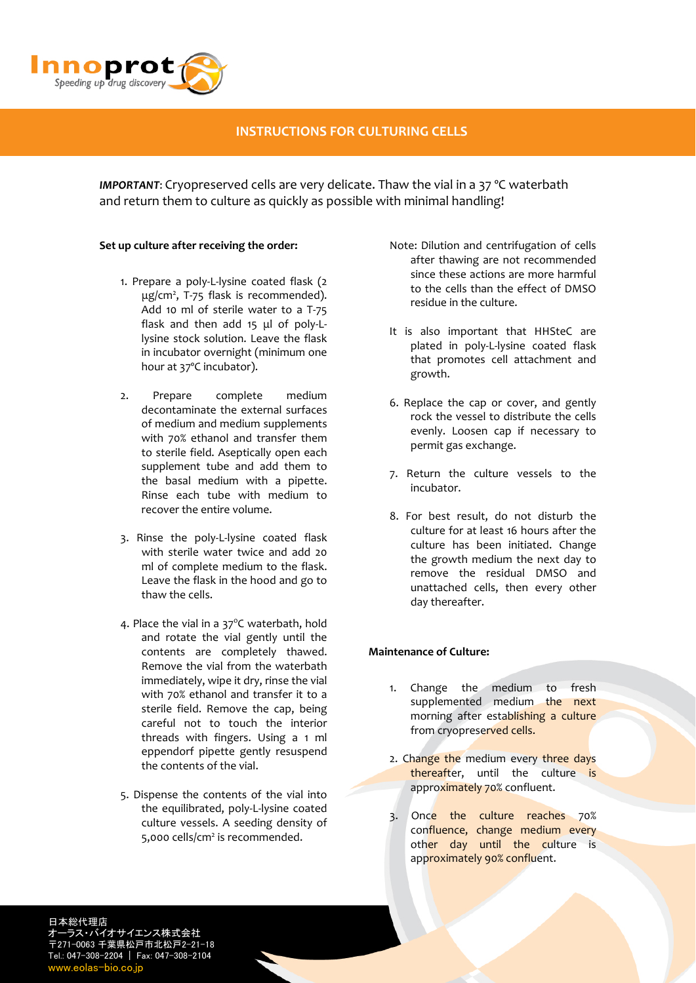

# **INSTRUCTIONS FOR CULTURING CELLS**

*IMPORTANT*: Cryopreserved cells are very delicate. Thaw the vial in a 37 ºC waterbath and return them to culture as quickly as possible with minimal handling!

### **Set up culture after receiving the order:**

- 1. Prepare a poly‐L‐lysine coated flask (2 μg/cm2 , T‐75 flask is recommended). Add 10 ml of sterile water to a T‐75 flask and then add 15 μl of poly‐L‐ lysine stock solution. Leave the flask in incubator overnight (minimum one hour at 37ºC incubator).
- 2. Prepare complete medium decontaminate the external surfaces of medium and medium supplements with 70% ethanol and transfer them to sterile field. Aseptically open each supplement tube and add them to the basal medium with a pipette. Rinse each tube with medium to recover the entire volume.
- 3. Rinse the poly‐L‐lysine coated flask with sterile water twice and add 20 ml of complete medium to the flask. Leave the flask in the hood and go to thaw the cells.
- 4. Place the vial in a 37°C waterbath, hold and rotate the vial gently until the contents are completely thawed. Remove the vial from the waterbath immediately, wipe it dry, rinse the vial with 70% ethanol and transfer it to a sterile field. Remove the cap, being careful not to touch the interior threads with fingers. Using a 1 ml eppendorf pipette gently resuspend the contents of the vial.
- 5. Dispense the contents of the vial into the equilibrated, poly‐L‐lysine coated culture vessels. A seeding density of 5,000 cells/cm<sup>2</sup> is recommended.
- Note: Dilution and centrifugation of cells after thawing are not recommended since these actions are more harmful to the cells than the effect of DMSO residue in the culture.
- It is also important that HHSteC are plated in poly‐L‐lysine coated flask that promotes cell attachment and growth.
- 6. Replace the cap or cover, and gently rock the vessel to distribute the cells evenly. Loosen cap if necessary to permit gas exchange.
- 7. Return the culture vessels to the incubator.
- 8. For best result, do not disturb the culture for at least 16 hours after the culture has been initiated. Change the growth medium the next day to remove the residual DMSO and unattached cells, then every other day thereafter.

## **Maintenance of Culture:**

- 1. Change the medium to fresh supplemented medium the next morning after establishing a culture from cryopreserved cells.
- 2. Change the medium every three days thereafter, until the culture is approximately 70% confluent.
- 3. Once the culture reaches 70% confluence, change medium every other day until the culture is approximately 90% confluent.

日本総代理店 オーラス・バイオサイエンス株式会社 〒271-0063 千葉県松戸市北松戸2-21-18 Tel.: 047-308-2204 | Fax: 047-308-2104 www.eolas-bio.co.